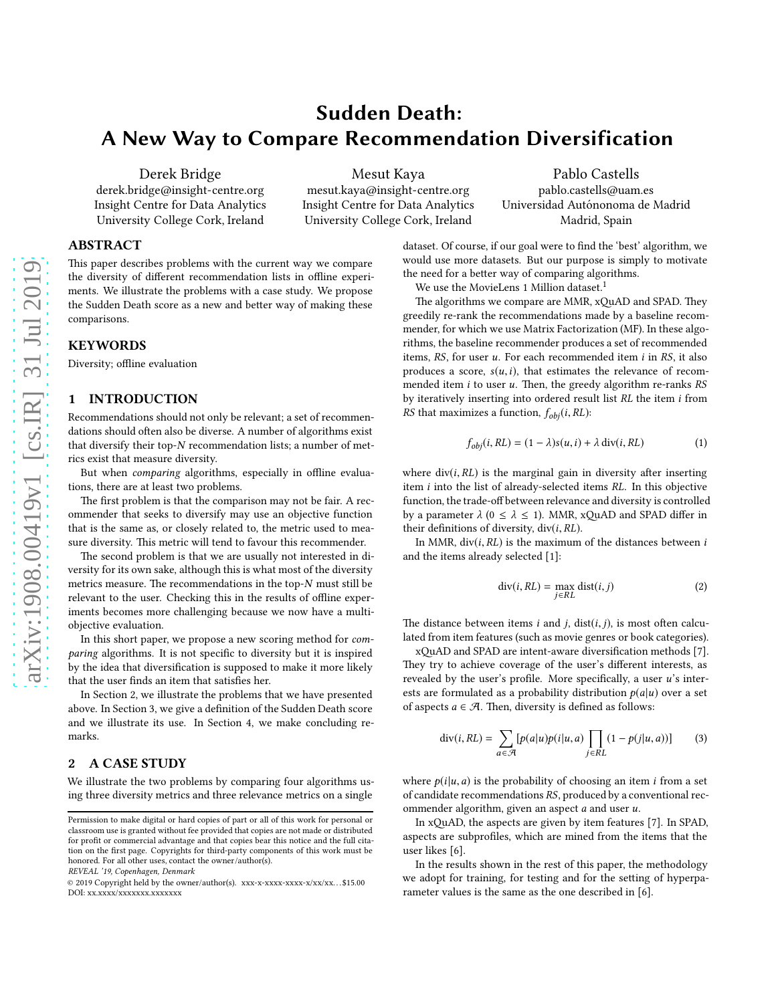# Sudden Death: A New Way to Compare Recommendation Diversification

Derek Bridge derek.bridge@insight-centre.org Insight Centre for Data Analytics University College Cork, Ireland

Mesut Kaya

mesut.kaya@insight-centre.org Insight Centre for Data Analytics University College Cork, Ireland

Pablo Castells pablo.castells@uam.es Universidad Autónonoma de Madrid Madrid, Spain

## ABSTRACT

This paper describes problems with the current way we compare the diversity of different recommendation lists in offline experiments. We illustrate the problems with a case study. We propose the Sudden Death score as a new and better way of making these comparisons.

#### KEYWORDS

Diversity; offline evaluation

## <span id="page-0-1"></span>1 INTRODUCTION

Recommendations should not only be relevant; a set of recommendations should often also be diverse. A number of algorithms exist that diversify their top-N recommendation lists; a number of metrics exist that measure diversity.

But when comparing algorithms, especially in offline evaluations, there are at least two problems.

The first problem is that the comparison may not be fair. A recommender that seeks to diversify may use an objective function that is the same as, or closely related to, the metric used to measure diversity. This metric will tend to favour this recommender.

The second problem is that we are usually not interested in diversity for its own sake, although this is what most of the diversity metrics measure. The recommendations in the top- $N$  must still be relevant to the user. Checking this in the results of offline experiments becomes more challenging because we now have a multiobjective evaluation.

In this short paper, we propose a new scoring method for comparing algorithms. It is not specific to diversity but it is inspired by the idea that diversification is supposed to make it more likely that the user finds an item that satisfies her.

In Section [2,](#page-0-0) we illustrate the problems that we have presented above. In Section [3,](#page-2-0) we give a definition of the Sudden Death score and we illustrate its use. In Section [4,](#page-3-0) we make concluding remarks.

## <span id="page-0-0"></span>2 A CASE STUDY

We illustrate the two problems by comparing four algorithms using three diversity metrics and three relevance metrics on a single

REVEAL '19, Copenhagen, Denmark

dataset. Of course, if our goal were to find the 'best' algorithm, we would use more datasets. But our purpose is simply to motivate the need for a better way of comparing algorithms.

We use the MovieLens [1](#page-1-0) Million dataset.<sup>1</sup>

The algorithms we compare are MMR, xQuAD and SPAD. They greedily re-rank the recommendations made by a baseline recommender, for which we use Matrix Factorization (MF). In these algorithms, the baseline recommender produces a set of recommended items,  $RS$ , for user  $u$ . For each recommended item  $i$  in  $RS$ , it also produces a score,  $s(u, i)$ , that estimates the relevance of recommended item  $i$  to user  $u$ . Then, the greedy algorithm re-ranks  $RS$ by iteratively inserting into ordered result list RL the item i from RS that maximizes a function,  $f_{\text{obj}}(i, RL)$ :

<span id="page-0-2"></span>
$$
f_{obj}(i, RL) = (1 - \lambda)s(u, i) + \lambda \operatorname{div}(i, RL)
$$
 (1)

where  $div(i, RL)$  is the marginal gain in diversity after inserting item i into the list of already-selected items RL. In this objective function, the trade-off between relevance and diversity is controlled by a parameter  $\lambda$  (0  $\leq \lambda \leq$  1). MMR, xQuAD and SPAD differ in their definitions of diversity,  $div(i, RL)$ .

In MMR,  $div(i, RL)$  is the maximum of the distances between  $i$ and the items already selected [\[1\]](#page-3-1):

$$
\text{div}(i, RL) = \max_{j \in RL} \text{dist}(i, j) \tag{2}
$$

The distance between items  $i$  and  $j$ , dist $(i, j)$ , is most often calculated from item features (such as movie genres or book categories).

xAD and SPAD are intent-aware diversification methods [\[7\]](#page-3-2). They try to achieve coverage of the user's different interests, as revealed by the user's profile. More specifically, a user  $u$ 's interests are formulated as a probability distribution  $p(a|u)$  over a set of aspects  $a \in \mathcal{A}$ . Then, diversity is defined as follows:

$$
\operatorname{div}(i,RL) = \sum_{a \in \mathcal{A}} [p(a|u)p(i|u,a) \prod_{j \in RL} (1 - p(j|u,a))]
$$
(3)

where  $p(i|u, a)$  is the probability of choosing an item *i* from a set of candidate recommendations RS, produced by a conventional recommender algorithm, given an aspect  $a$  and user  $u$ .

In xQuAD, the aspects are given by item features [\[7](#page-3-2)]. In SPAD, aspects are subprofiles, which are mined from the items that the user likes [\[6](#page-3-3)].

In the results shown in the rest of this paper, the methodology we adopt for training, for testing and for the setting of hyperparameter values is the same as the one described in [\[6\]](#page-3-3).

Permission to make digital or hard copies of part or all of this work for personal or classroom use is granted without fee provided that copies are not made or distributed for profit or commercial advantage and that copies bear this notice and the full citation on the first page. Copyrights for third-party components of this work must be honored. For all other uses, contact the owner/author(s).

<sup>© 2019</sup> Copyright held by the owner/author(s). xxx-x-xxxx-xxxx-x/xx/xx. . . \$15.00 DOI: xx.xxxx/xxxxxxx.xxxxxxx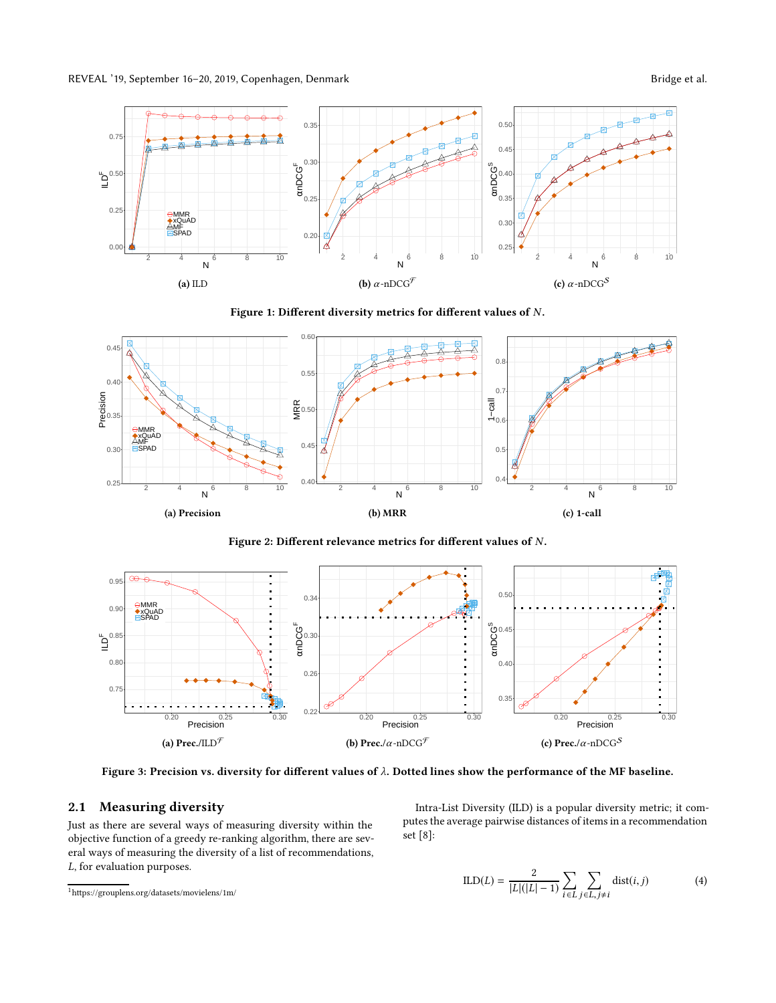<span id="page-1-1"></span>REVEAL '19, September 16-20, 2019, Copenhagen, Denmark Bridge et al.



Figure 1: Different diversity metrics for different values of N.

<span id="page-1-2"></span>

Figure 2: Different relevance metrics for different values of N.

<span id="page-1-3"></span>

Figure 3: Precision vs. diversity for different values of  $\lambda$ . Dotted lines show the performance of the MF baseline.

## 2.1 Measuring diversity

Just as there are several ways of measuring diversity within the objective function of a greedy re-ranking algorithm, there are several ways of measuring the diversity of a list of recommendations, L, for evaluation purposes.

Intra-List Diversity (ILD) is a popular diversity metric; it computes the average pairwise distances of items in a recommendation set [\[8\]](#page-3-4):

$$
ILD(L) = \frac{2}{|L|(|L|-1)} \sum_{i \in L} \sum_{j \in L, j \neq i} \text{dist}(i, j) \tag{4}
$$

<span id="page-1-0"></span> $1$ https://grouplens.org/datasets/movielens/1m/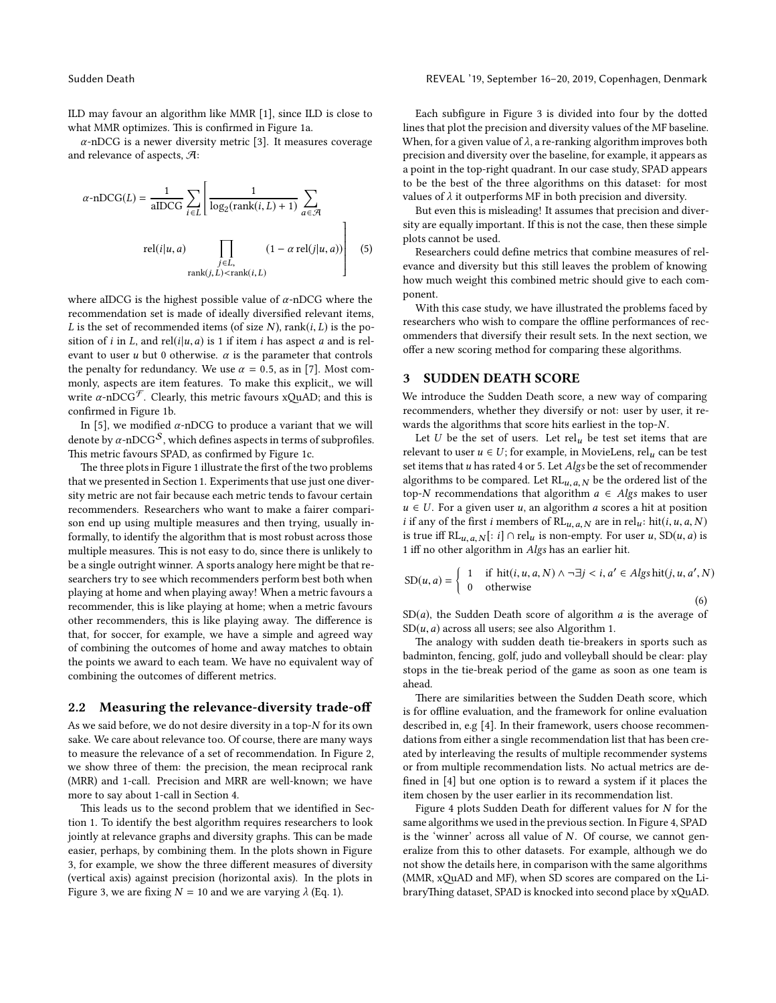ILD may favour an algorithm like MMR [\[1\]](#page-3-1), since ILD is close to what MMR optimizes. This is confirmed in Figure [1a.](#page-1-1)

 $\alpha$ -nDCG is a newer diversity metric [\[3](#page-3-5)]. It measures coverage and relevance of aspects, A:

$$
\alpha \text{-nDCG}(L) = \frac{1}{\text{aIDCG}} \sum_{i \in L} \left[ \frac{1}{\log_2(\text{rank}(i, L) + 1)} \sum_{a \in \mathcal{A}} \text{rel}(i|u, a) \right]
$$

$$
\text{rel}(i|u, a) \prod_{\substack{j \in L, \\ \text{rank}(j, L) < \text{rank}(i, L)}} (1 - \alpha \text{ rel}(j|u, a)) \right] (5)
$$

where aIDCG is the highest possible value of  $\alpha$ -nDCG where the recommendation set is made of ideally diversified relevant items, L is the set of recommended items (of size  $N$ ), rank( $i, L$ ) is the position of i in L, and rel(i|u, a) is 1 if item i has aspect a and is relevant to user  $u$  but 0 otherwise.  $\alpha$  is the parameter that controls the penalty for redundancy. We use  $\alpha = 0.5$ , as in [\[7\]](#page-3-2). Most commonly, aspects are item features. To make this explicit,, we will write  $\alpha$ -nDCG<sup>F</sup>. Clearly, this metric favours xQuAD; and this is confirmed in Figure [1b.](#page-1-1)

In [\[5](#page-3-6)], we modified  $\alpha$ -nDCG to produce a variant that we will denote by  $\alpha$ -nDCG<sup>S</sup>, which defines aspects in terms of subprofiles. This metric favours SPAD, as confirmed by Figure [1c.](#page-1-1)

The three plots in Figure [1](#page-1-1) illustrate the first of the two problems that we presented in Section [1.](#page-0-1) Experiments that use just one diversity metric are not fair because each metric tends to favour certain recommenders. Researchers who want to make a fairer comparison end up using multiple measures and then trying, usually informally, to identify the algorithm that is most robust across those multiple measures. This is not easy to do, since there is unlikely to be a single outright winner. A sports analogy here might be that researchers try to see which recommenders perform best both when playing at home and when playing away! When a metric favours a recommender, this is like playing at home; when a metric favours other recommenders, this is like playing away. The difference is that, for soccer, for example, we have a simple and agreed way of combining the outcomes of home and away matches to obtain the points we award to each team. We have no equivalent way of combining the outcomes of different metrics.

#### 2.2 Measuring the relevance-diversity trade-off

As we said before, we do not desire diversity in a top-N for its own sake. We care about relevance too. Of course, there are many ways to measure the relevance of a set of recommendation. In Figure [2,](#page-1-2) we show three of them: the precision, the mean reciprocal rank (MRR) and 1-call. Precision and MRR are well-known; we have more to say about 1-call in Section [4.](#page-3-0)

This leads us to the second problem that we identified in Section [1.](#page-0-1) To identify the best algorithm requires researchers to look jointly at relevance graphs and diversity graphs. This can be made easier, perhaps, by combining them. In the plots shown in Figure [3,](#page-1-3) for example, we show the three different measures of diversity (vertical axis) against precision (horizontal axis). In the plots in Figure [3,](#page-1-3) we are fixing  $N = 10$  and we are varying  $\lambda$  (Eq. [1\)](#page-0-2).

Each subfigure in Figure [3](#page-1-3) is divided into four by the dotted lines that plot the precision and diversity values of the MF baseline. When, for a given value of  $\lambda$ , a re-ranking algorithm improves both precision and diversity over the baseline, for example, it appears as a point in the top-right quadrant. In our case study, SPAD appears to be the best of the three algorithms on this dataset: for most values of  $\lambda$  it outperforms MF in both precision and diversity.

But even this is misleading! It assumes that precision and diversity are equally important. If this is not the case, then these simple plots cannot be used.

Researchers could define metrics that combine measures of relevance and diversity but this still leaves the problem of knowing how much weight this combined metric should give to each component.

With this case study, we have illustrated the problems faced by researchers who wish to compare the offline performances of recommenders that diversify their result sets. In the next section, we offer a new scoring method for comparing these algorithms.

#### <span id="page-2-0"></span>3 SUDDEN DEATH SCORE

We introduce the Sudden Death score, a new way of comparing recommenders, whether they diversify or not: user by user, it rewards the algorithms that score hits earliest in the top-N.

Let U be the set of users. Let  $rel_u$  be test set items that are relevant to user  $u \in U$ ; for example, in MovieLens, rel<sub>u</sub> can be test set items that  $u$  has rated 4 or 5. Let  $Algs$  be the set of recommender algorithms to be compared. Let  $RL_{u,a,N}$  be the ordered list of the top-N recommendations that algorithm  $a \in Algs$  makes to user  $u \in U$ . For a given user u, an algorithm a scores a hit at position *i* if any of the first *i* members of RL<sub>u, a, N</sub> are in rel<sub>u</sub>: hit(*i*, *u*, *a*, *N*) is true iff RL<sub>u, a, N</sub>[: i] ∩ rel<sub>u</sub> is non-empty. For user u, SD(u, a) is 1 iff no other algorithm in Algs has an earlier hit.

$$
SD(u, a) = \begin{cases} 1 & \text{if } \text{hit}(i, u, a, N) \land \neg \exists j < i, a' \in \text{Algshit}(j, u, a', N) \\ 0 & \text{otherwise} \end{cases} \tag{6}
$$

 $SD(a)$ , the Sudden Death score of algorithm a is the average of  $SD(u, a)$  across all users; see also Algorithm [1.](#page-3-7)

The analogy with sudden death tie-breakers in sports such as badminton, fencing, golf, judo and volleyball should be clear: play stops in the tie-break period of the game as soon as one team is ahead.

There are similarities between the Sudden Death score, which is for offline evaluation, and the framework for online evaluation described in, e.g [\[4\]](#page-3-8). In their framework, users choose recommendations from either a single recommendation list that has been created by interleaving the results of multiple recommender systems or from multiple recommendation lists. No actual metrics are defined in [\[4](#page-3-8)] but one option is to reward a system if it places the item chosen by the user earlier in its recommendation list.

Figure [4](#page-3-9) plots Sudden Death for different values for N for the same algorithms we used in the previous section. In Figure [4,](#page-3-9) SPAD is the 'winner' across all value of  $N$ . Of course, we cannot generalize from this to other datasets. For example, although we do not show the details here, in comparison with the same algorithms (MMR, xQuAD and MF), when SD scores are compared on the LibraryThing dataset, SPAD is knocked into second place by xQuAD.